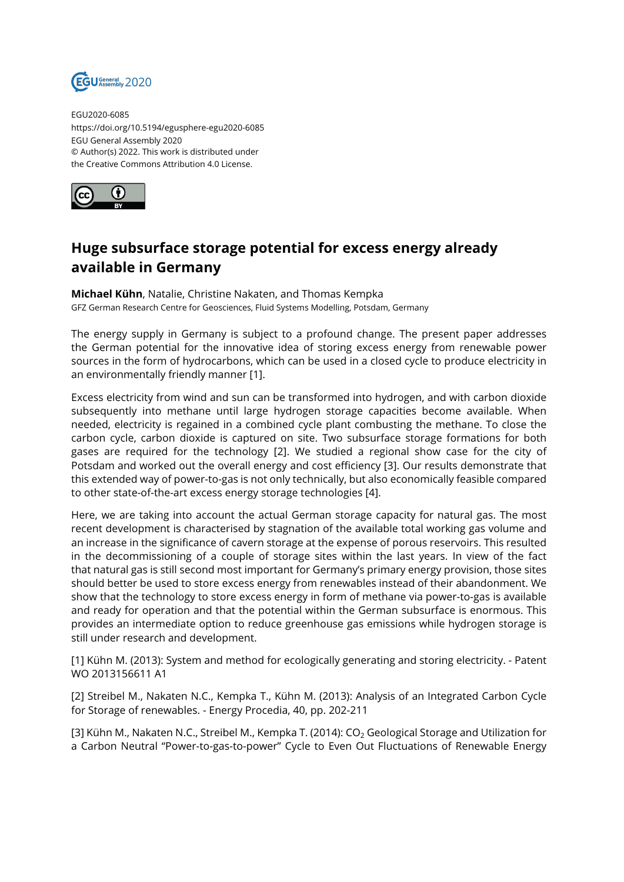

EGU2020-6085 https://doi.org/10.5194/egusphere-egu2020-6085 EGU General Assembly 2020 © Author(s) 2022. This work is distributed under the Creative Commons Attribution 4.0 License.



## **Huge subsurface storage potential for excess energy already available in Germany**

**Michael Kühn**, Natalie, Christine Nakaten, and Thomas Kempka GFZ German Research Centre for Geosciences, Fluid Systems Modelling, Potsdam, Germany

The energy supply in Germany is subject to a profound change. The present paper addresses the German potential for the innovative idea of storing excess energy from renewable power sources in the form of hydrocarbons, which can be used in a closed cycle to produce electricity in an environmentally friendly manner [1].

Excess electricity from wind and sun can be transformed into hydrogen, and with carbon dioxide subsequently into methane until large hydrogen storage capacities become available. When needed, electricity is regained in a combined cycle plant combusting the methane. To close the carbon cycle, carbon dioxide is captured on site. Two subsurface storage formations for both gases are required for the technology [2]. We studied a regional show case for the city of Potsdam and worked out the overall energy and cost efficiency [3]. Our results demonstrate that this extended way of power-to-gas is not only technically, but also economically feasible compared to other state-of-the-art excess energy storage technologies [4].

Here, we are taking into account the actual German storage capacity for natural gas. The most recent development is characterised by stagnation of the available total working gas volume and an increase in the significance of cavern storage at the expense of porous reservoirs. This resulted in the decommissioning of a couple of storage sites within the last years. In view of the fact that natural gas is still second most important for Germany's primary energy provision, those sites should better be used to store excess energy from renewables instead of their abandonment. We show that the technology to store excess energy in form of methane via power-to-gas is available and ready for operation and that the potential within the German subsurface is enormous. This provides an intermediate option to reduce greenhouse gas emissions while hydrogen storage is still under research and development.

[1] Kühn M. (2013): System and method for ecologically generating and storing electricity. - Patent WO 2013156611 A1

[2] Streibel M., Nakaten N.C., Kempka T., Kühn M. (2013): Analysis of an Integrated Carbon Cycle for Storage of renewables. - Energy Procedia, 40, pp. 202-211

[3] Kühn M., Nakaten N.C., Streibel M., Kempka T. (2014):  $CO<sub>2</sub>$  Geological Storage and Utilization for a Carbon Neutral "Power-to-gas-to-power" Cycle to Even Out Fluctuations of Renewable Energy